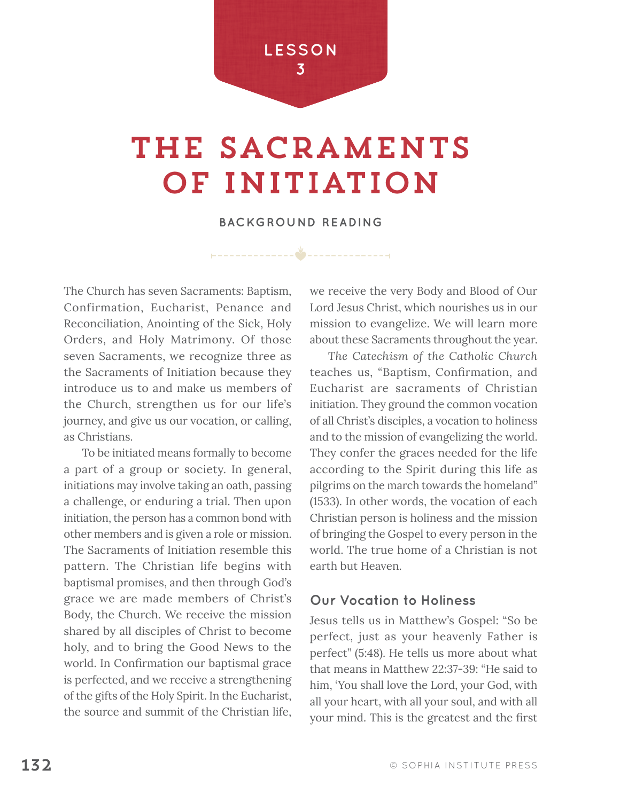

# THE SACRAMENTS of Initiation

**BACKGROUND READING**

The Church has seven Sacraments: Baptism, Confirmation, Eucharist, Penance and Reconciliation, Anointing of the Sick, Holy Orders, and Holy Matrimony. Of those seven Sacraments, we recognize three as the Sacraments of Initiation because they introduce us to and make us members of the Church, strengthen us for our life's journey, and give us our vocation, or calling, as Christians.

To be initiated means formally to become a part of a group or society. In general, initiations may involve taking an oath, passing a challenge, or enduring a trial. Then upon initiation, the person has a common bond with other members and is given a role or mission. The Sacraments of Initiation resemble this pattern. The Christian life begins with baptismal promises, and then through God's grace we are made members of Christ's Body, the Church. We receive the mission shared by all disciples of Christ to become holy, and to bring the Good News to the world. In Confirmation our baptismal grace is perfected, and we receive a strengthening of the gifts of the Holy Spirit. In the Eucharist, the source and summit of the Christian life,

we receive the very Body and Blood of Our Lord Jesus Christ, which nourishes us in our mission to evangelize. We will learn more about these Sacraments throughout the year.

*The Catechism of the Catholic Church*  teaches us, "Baptism, Confirmation, and Eucharist are sacraments of Christian initiation. They ground the common vocation of all Christ's disciples, a vocation to holiness and to the mission of evangelizing the world. They confer the graces needed for the life according to the Spirit during this life as pilgrims on the march towards the homeland" (1533). In other words, the vocation of each Christian person is holiness and the mission of bringing the Gospel to every person in the world. The true home of a Christian is not earth but Heaven.

## **Our Vocation to Holiness**

Jesus tells us in Matthew's Gospel: "So be perfect, just as your heavenly Father is perfect" (5:48). He tells us more about what that means in Matthew 22:37-39: "He said to him, 'You shall love the Lord, your God, with all your heart, with all your soul, and with all your mind. This is the greatest and the first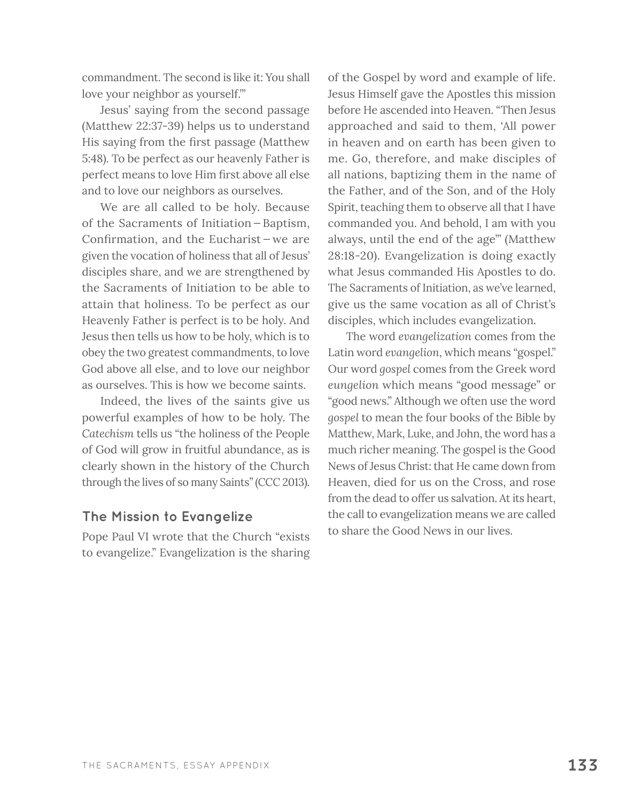commandment. The second is like it: You shall love your neighbor as yourself.'"

Jesus' saying from the second passage (Matthew 22:37-39) helps us to understand His saying from the first passage (Matthew 5:48). To be perfect as our heavenly Father is perfect means to love Him first above all else and to love our neighbors as ourselves.

We are all called to be holy. Because of the Sacraments of Initiation — Baptism, Confirmation, and the Eucharist — we are given the vocation of holiness that all of Jesus' disciples share, and we are strengthened by the Sacraments of Initiation to be able to attain that holiness. To be perfect as our Heavenly Father is perfect is to be holy. And Jesus then tells us how to be holy, which is to obey the two greatest commandments, to love God above all else, and to love our neighbor as ourselves. This is how we become saints.

Indeed, the lives of the saints give us powerful examples of how to be holy. The *Catechism* tells us "the holiness of the People of God will grow in fruitful abundance, as is clearly shown in the history of the Church through the lives of so many Saints" (CCC 2013).

## **The Mission to Evangelize**

Pope Paul VI wrote that the Church "exists to evangelize." Evangelization is the sharing

of the Gospel by word and example of life. Jesus Himself gave the Apostles this mission before He ascended into Heaven. "Then Jesus approached and said to them, 'All power in heaven and on earth has been given to me. Go, therefore, and make disciples of all nations, baptizing them in the name of the Father, and of the Son, and of the Holy Spirit, teaching them to observe all that I have commanded you. And behold, I am with you always, until the end of the age'" (Matthew 28:18-20). Evangelization is doing exactly what Jesus commanded His Apostles to do. The Sacraments of Initiation, as we've learned, give us the same vocation as all of Christ's disciples, which includes evangelization.

The word *evangelization* comes from the Latin word *evangelion*, which means "gospel." Our word *gospel* comes from the Greek word *eungelion* which means "good message" or "good news." Although we often use the word *gospel* to mean the four books of the Bible by Matthew, Mark, Luke, and John, the word has a much richer meaning. The gospel is the Good News of Jesus Christ: that He came down from Heaven, died for us on the Cross, and rose from the dead to offer us salvation. At its heart, the call to evangelization means we are called to share the Good News in our lives.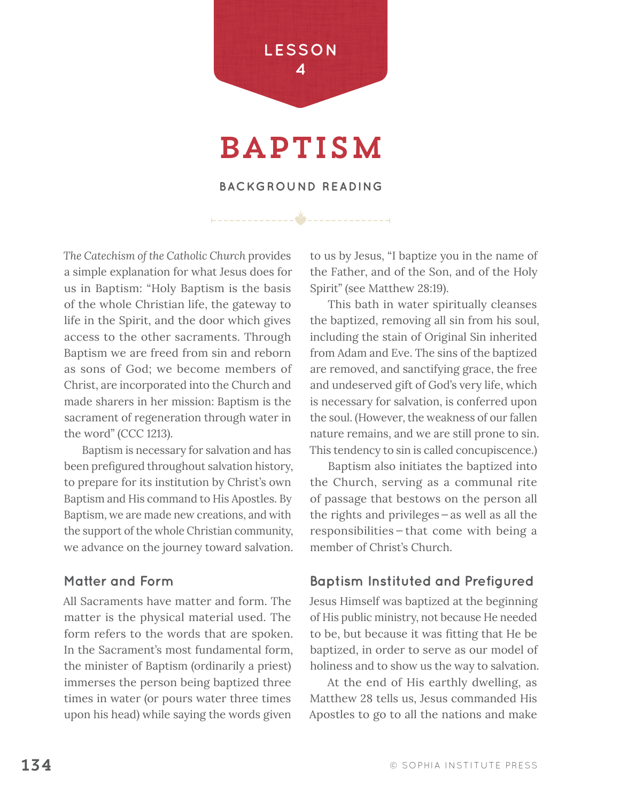

# Baptism

#### **BACKGROUND READING**

Y

*The Catechism of the Catholic Church* provides a simple explanation for what Jesus does for us in Baptism: "Holy Baptism is the basis of the whole Christian life, the gateway to life in the Spirit, and the door which gives access to the other sacraments. Through Baptism we are freed from sin and reborn as sons of God; we become members of Christ, are incorporated into the Church and made sharers in her mission: Baptism is the sacrament of regeneration through water in the word" (CCC 1213).

Baptism is necessary for salvation and has been prefigured throughout salvation history, to prepare for its institution by Christ's own Baptism and His command to His Apostles. By Baptism, we are made new creations, and with the support of the whole Christian community, we advance on the journey toward salvation.

# **Matter and Form**

All Sacraments have matter and form. The matter is the physical material used. The form refers to the words that are spoken. In the Sacrament's most fundamental form, the minister of Baptism (ordinarily a priest) immerses the person being baptized three times in water (or pours water three times upon his head) while saying the words given

to us by Jesus, "I baptize you in the name of the Father, and of the Son, and of the Holy Spirit" (see Matthew 28:19).

This bath in water spiritually cleanses the baptized, removing all sin from his soul, including the stain of Original Sin inherited from Adam and Eve. The sins of the baptized are removed, and sanctifying grace, the free and undeserved gift of God's very life, which is necessary for salvation, is conferred upon the soul. (However, the weakness of our fallen nature remains, and we are still prone to sin. This tendency to sin is called concupiscence.)

Baptism also initiates the baptized into the Church, serving as a communal rite of passage that bestows on the person all the rights and privileges—as well as all the responsibilities — that come with being a member of Christ's Church.

#### **Baptism Instituted and Prefigured**

Jesus Himself was baptized at the beginning of His public ministry, not because He needed to be, but because it was fitting that He be baptized, in order to serve as our model of holiness and to show us the way to salvation.

At the end of His earthly dwelling, as Matthew 28 tells us, Jesus commanded His Apostles to go to all the nations and make